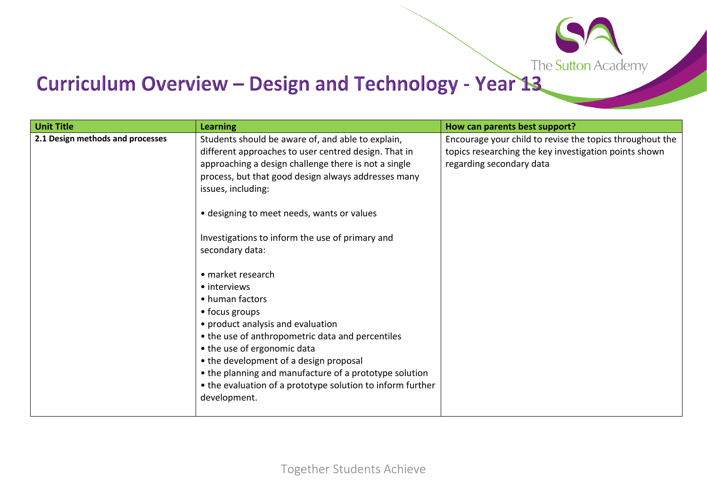

## Curriculum Overview - Design and Technology - Year 13

| <b>Unit Title</b>                | <b>Learning</b>                                                                                                                                                                                                                                                                                                                                                                  | How can parents best support?                                                                                                                 |
|----------------------------------|----------------------------------------------------------------------------------------------------------------------------------------------------------------------------------------------------------------------------------------------------------------------------------------------------------------------------------------------------------------------------------|-----------------------------------------------------------------------------------------------------------------------------------------------|
| 2.1 Design methods and processes | Students should be aware of, and able to explain,<br>different approaches to user centred design. That in<br>approaching a design challenge there is not a single<br>process, but that good design always addresses many<br>issues, including:                                                                                                                                   | Encourage your child to revise the topics throughout the<br>topics researching the key investigation points shown<br>regarding secondary data |
|                                  | • designing to meet needs, wants or values                                                                                                                                                                                                                                                                                                                                       |                                                                                                                                               |
|                                  | Investigations to inform the use of primary and<br>secondary data:                                                                                                                                                                                                                                                                                                               |                                                                                                                                               |
|                                  | • market research<br>• interviews<br>• human factors<br>• focus groups<br>• product analysis and evaluation<br>• the use of anthropometric data and percentiles<br>• the use of ergonomic data<br>• the development of a design proposal<br>• the planning and manufacture of a prototype solution<br>• the evaluation of a prototype solution to inform further<br>development. |                                                                                                                                               |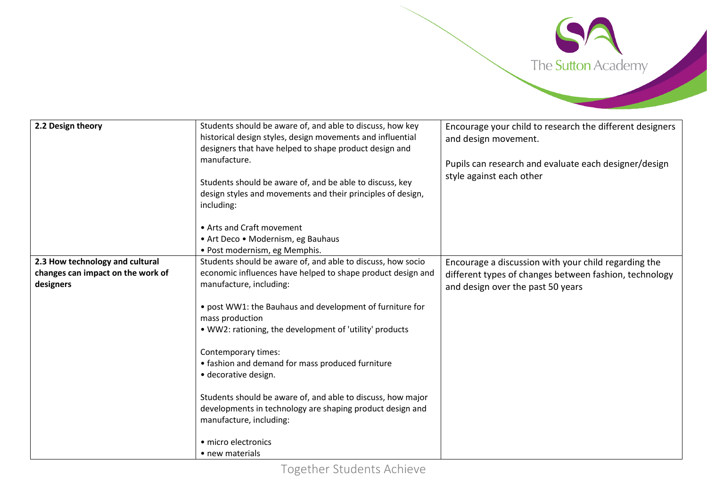

| 2.2 Design theory                                                                 | Students should be aware of, and able to discuss, how key<br>historical design styles, design movements and influential<br>designers that have helped to shape product design and<br>manufacture. | Encourage your child to research the different designers<br>and design movement.<br>Pupils can research and evaluate each designer/design<br>style against each other |
|-----------------------------------------------------------------------------------|---------------------------------------------------------------------------------------------------------------------------------------------------------------------------------------------------|-----------------------------------------------------------------------------------------------------------------------------------------------------------------------|
|                                                                                   | Students should be aware of, and be able to discuss, key<br>design styles and movements and their principles of design,<br>including:                                                             |                                                                                                                                                                       |
|                                                                                   | • Arts and Craft movement<br>• Art Deco • Modernism, eg Bauhaus<br>· Post modernism, eg Memphis.                                                                                                  |                                                                                                                                                                       |
| 2.3 How technology and cultural<br>changes can impact on the work of<br>designers | Students should be aware of, and able to discuss, how socio<br>economic influences have helped to shape product design and<br>manufacture, including:                                             | Encourage a discussion with your child regarding the<br>different types of changes between fashion, technology<br>and design over the past 50 years                   |
|                                                                                   | • post WW1: the Bauhaus and development of furniture for<br>mass production<br>• WW2: rationing, the development of 'utility' products                                                            |                                                                                                                                                                       |
|                                                                                   | Contemporary times:<br>• fashion and demand for mass produced furniture<br>· decorative design.                                                                                                   |                                                                                                                                                                       |
|                                                                                   | Students should be aware of, and able to discuss, how major<br>developments in technology are shaping product design and<br>manufacture, including:                                               |                                                                                                                                                                       |
|                                                                                   | • micro electronics<br>• new materials                                                                                                                                                            |                                                                                                                                                                       |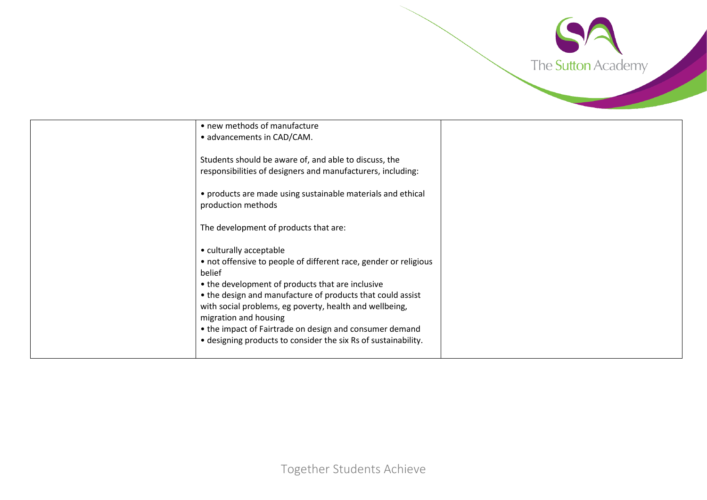

| • new methods of manufacture                                     |  |
|------------------------------------------------------------------|--|
| • advancements in CAD/CAM.                                       |  |
|                                                                  |  |
| Students should be aware of, and able to discuss, the            |  |
| responsibilities of designers and manufacturers, including:      |  |
|                                                                  |  |
| • products are made using sustainable materials and ethical      |  |
| production methods                                               |  |
|                                                                  |  |
| The development of products that are:                            |  |
|                                                                  |  |
| • culturally acceptable                                          |  |
| • not offensive to people of different race, gender or religious |  |
| belief                                                           |  |
| • the development of products that are inclusive                 |  |
|                                                                  |  |
| • the design and manufacture of products that could assist       |  |
| with social problems, eg poverty, health and wellbeing,          |  |
| migration and housing                                            |  |
| • the impact of Fairtrade on design and consumer demand          |  |
| • designing products to consider the six Rs of sustainability.   |  |
|                                                                  |  |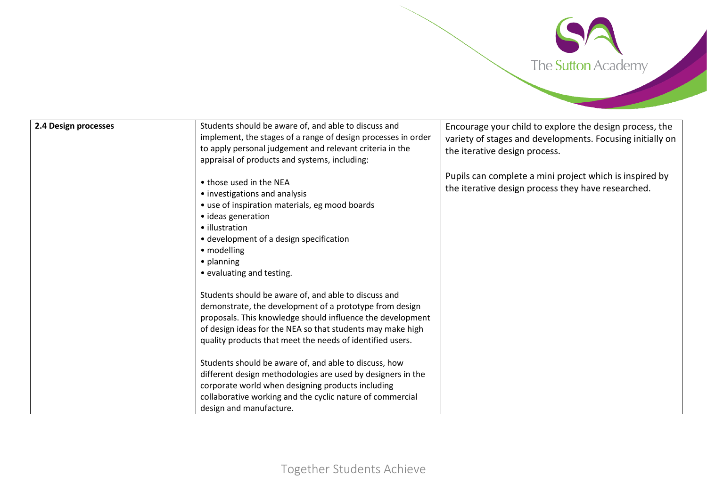

| Pupils can complete a mini project which is inspired by<br>• those used in the NEA<br>the iterative design process they have researched.<br>• investigations and analysis<br>• use of inspiration materials, eg mood boards<br>• ideas generation<br>• illustration<br>• development of a design specification<br>• modelling<br>$\bullet$ planning<br>• evaluating and testing.<br>Students should be aware of, and able to discuss and<br>demonstrate, the development of a prototype from design<br>proposals. This knowledge should influence the development<br>of design ideas for the NEA so that students may make high<br>quality products that meet the needs of identified users.<br>Students should be aware of, and able to discuss, how<br>different design methodologies are used by designers in the<br>corporate world when designing products including<br>collaborative working and the cyclic nature of commercial | 2.4 Design processes | Students should be aware of, and able to discuss and<br>implement, the stages of a range of design processes in order<br>to apply personal judgement and relevant criteria in the<br>appraisal of products and systems, including: | Encourage your child to explore the design process, the<br>variety of stages and developments. Focusing initially on<br>the iterative design process. |
|----------------------------------------------------------------------------------------------------------------------------------------------------------------------------------------------------------------------------------------------------------------------------------------------------------------------------------------------------------------------------------------------------------------------------------------------------------------------------------------------------------------------------------------------------------------------------------------------------------------------------------------------------------------------------------------------------------------------------------------------------------------------------------------------------------------------------------------------------------------------------------------------------------------------------------------|----------------------|------------------------------------------------------------------------------------------------------------------------------------------------------------------------------------------------------------------------------------|-------------------------------------------------------------------------------------------------------------------------------------------------------|
|                                                                                                                                                                                                                                                                                                                                                                                                                                                                                                                                                                                                                                                                                                                                                                                                                                                                                                                                        |                      | design and manufacture.                                                                                                                                                                                                            |                                                                                                                                                       |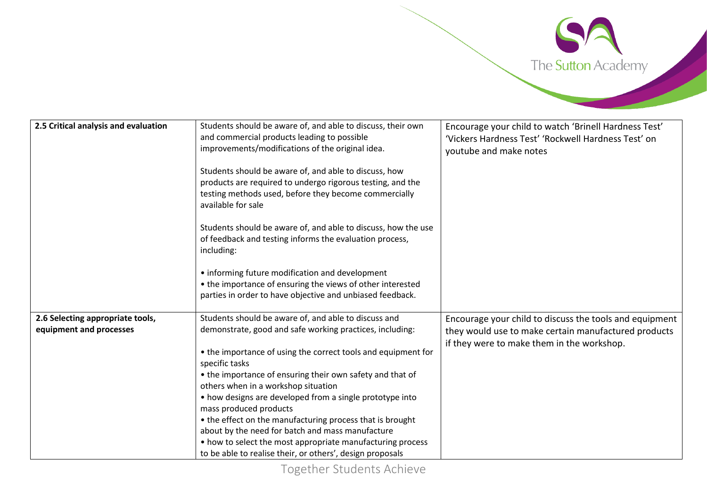

| 2.5 Critical analysis and evaluation | Students should be aware of, and able to discuss, their own<br>and commercial products leading to possible<br>improvements/modifications of the original idea.                                     | Encourage your child to watch 'Brinell Hardness Test'<br>'Vickers Hardness Test' 'Rockwell Hardness Test' on<br>youtube and make notes |
|--------------------------------------|----------------------------------------------------------------------------------------------------------------------------------------------------------------------------------------------------|----------------------------------------------------------------------------------------------------------------------------------------|
|                                      | Students should be aware of, and able to discuss, how<br>products are required to undergo rigorous testing, and the<br>testing methods used, before they become commercially<br>available for sale |                                                                                                                                        |
|                                      | Students should be aware of, and able to discuss, how the use<br>of feedback and testing informs the evaluation process,<br>including:                                                             |                                                                                                                                        |
|                                      | • informing future modification and development<br>• the importance of ensuring the views of other interested<br>parties in order to have objective and unbiased feedback.                         |                                                                                                                                        |
| 2.6 Selecting appropriate tools,     | Students should be aware of, and able to discuss and                                                                                                                                               |                                                                                                                                        |
|                                      |                                                                                                                                                                                                    | Encourage your child to discuss the tools and equipment                                                                                |
| equipment and processes              | demonstrate, good and safe working practices, including:                                                                                                                                           | they would use to make certain manufactured products                                                                                   |
|                                      |                                                                                                                                                                                                    | if they were to make them in the workshop.                                                                                             |
|                                      | • the importance of using the correct tools and equipment for<br>specific tasks                                                                                                                    |                                                                                                                                        |
|                                      | • the importance of ensuring their own safety and that of                                                                                                                                          |                                                                                                                                        |
|                                      | others when in a workshop situation                                                                                                                                                                |                                                                                                                                        |
|                                      | • how designs are developed from a single prototype into                                                                                                                                           |                                                                                                                                        |
|                                      | mass produced products                                                                                                                                                                             |                                                                                                                                        |
|                                      | • the effect on the manufacturing process that is brought                                                                                                                                          |                                                                                                                                        |
|                                      | about by the need for batch and mass manufacture                                                                                                                                                   |                                                                                                                                        |
|                                      | • how to select the most appropriate manufacturing process                                                                                                                                         |                                                                                                                                        |
|                                      | to be able to realise their, or others', design proposals                                                                                                                                          |                                                                                                                                        |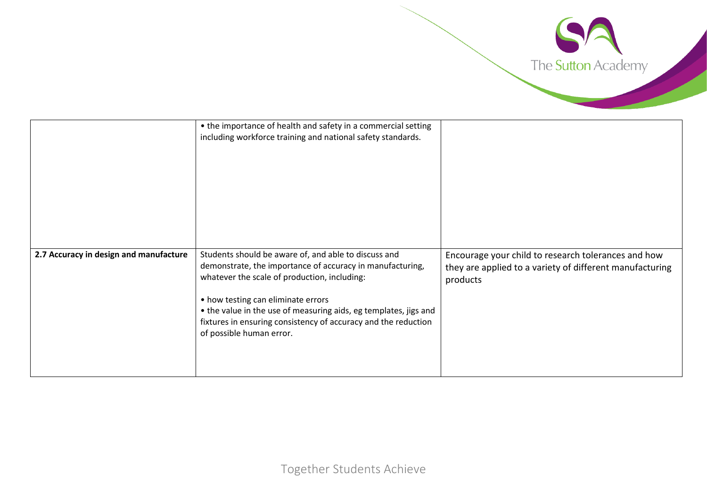

|                                        | • the importance of health and safety in a commercial setting<br>including workforce training and national safety standards.                                                                                                                                                                                                                                              |                                                                                                                             |
|----------------------------------------|---------------------------------------------------------------------------------------------------------------------------------------------------------------------------------------------------------------------------------------------------------------------------------------------------------------------------------------------------------------------------|-----------------------------------------------------------------------------------------------------------------------------|
| 2.7 Accuracy in design and manufacture | Students should be aware of, and able to discuss and<br>demonstrate, the importance of accuracy in manufacturing,<br>whatever the scale of production, including:<br>• how testing can eliminate errors<br>• the value in the use of measuring aids, eg templates, jigs and<br>fixtures in ensuring consistency of accuracy and the reduction<br>of possible human error. | Encourage your child to research tolerances and how<br>they are applied to a variety of different manufacturing<br>products |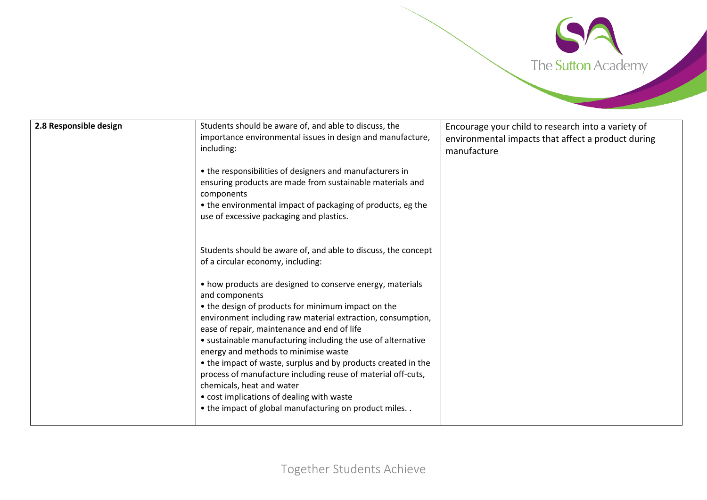

| 2.8 Responsible design | Students should be aware of, and able to discuss, the<br>importance environmental issues in design and manufacture,<br>including:<br>• the responsibilities of designers and manufacturers in<br>ensuring products are made from sustainable materials and<br>components<br>• the environmental impact of packaging of products, eg the<br>use of excessive packaging and plastics.                                                                                                                                                                                                                                                                                                                                               | Encourage your child to research into a variety of<br>environmental impacts that affect a product during<br>manufacture |
|------------------------|-----------------------------------------------------------------------------------------------------------------------------------------------------------------------------------------------------------------------------------------------------------------------------------------------------------------------------------------------------------------------------------------------------------------------------------------------------------------------------------------------------------------------------------------------------------------------------------------------------------------------------------------------------------------------------------------------------------------------------------|-------------------------------------------------------------------------------------------------------------------------|
|                        | Students should be aware of, and able to discuss, the concept<br>of a circular economy, including:<br>• how products are designed to conserve energy, materials<br>and components<br>• the design of products for minimum impact on the<br>environment including raw material extraction, consumption,<br>ease of repair, maintenance and end of life<br>• sustainable manufacturing including the use of alternative<br>energy and methods to minimise waste<br>• the impact of waste, surplus and by products created in the<br>process of manufacture including reuse of material off-cuts,<br>chemicals, heat and water<br>• cost implications of dealing with waste<br>• the impact of global manufacturing on product miles |                                                                                                                         |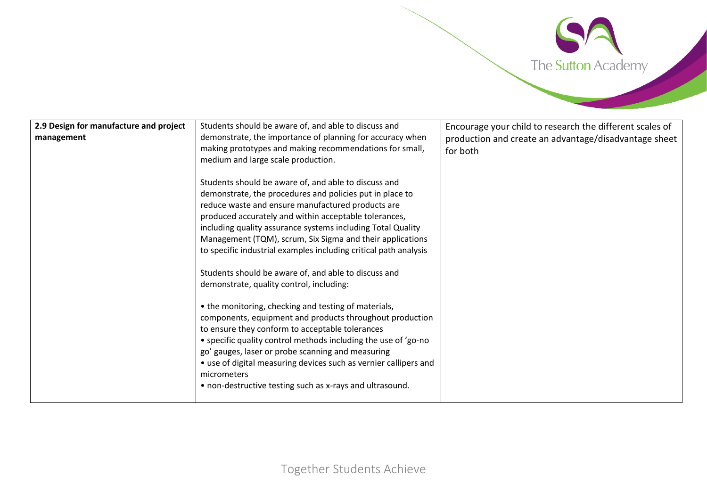

| demonstrate, the importance of planning for accuracy when<br>management<br>making prototypes and making recommendations for small,<br>for both<br>medium and large scale production.<br>Students should be aware of, and able to discuss and<br>demonstrate, the procedures and policies put in place to<br>reduce waste and ensure manufactured products are<br>produced accurately and within acceptable tolerances,<br>including quality assurance systems including Total Quality<br>Management (TQM), scrum, Six Sigma and their applications<br>to specific industrial examples including critical path analysis<br>Students should be aware of, and able to discuss and<br>demonstrate, quality control, including:<br>• the monitoring, checking and testing of materials,<br>components, equipment and products throughout production<br>to ensure they conform to acceptable tolerances<br>• specific quality control methods including the use of 'go-no<br>go' gauges, laser or probe scanning and measuring | 2.9 Design for manufacture and project | Students should be aware of, and able to discuss and             | Encourage your child to research the different scales of |
|--------------------------------------------------------------------------------------------------------------------------------------------------------------------------------------------------------------------------------------------------------------------------------------------------------------------------------------------------------------------------------------------------------------------------------------------------------------------------------------------------------------------------------------------------------------------------------------------------------------------------------------------------------------------------------------------------------------------------------------------------------------------------------------------------------------------------------------------------------------------------------------------------------------------------------------------------------------------------------------------------------------------------|----------------------------------------|------------------------------------------------------------------|----------------------------------------------------------|
|                                                                                                                                                                                                                                                                                                                                                                                                                                                                                                                                                                                                                                                                                                                                                                                                                                                                                                                                                                                                                          |                                        |                                                                  | production and create an advantage/disadvantage sheet    |
| micrometers<br>• non-destructive testing such as x-rays and ultrasound.                                                                                                                                                                                                                                                                                                                                                                                                                                                                                                                                                                                                                                                                                                                                                                                                                                                                                                                                                  |                                        | • use of digital measuring devices such as vernier callipers and |                                                          |